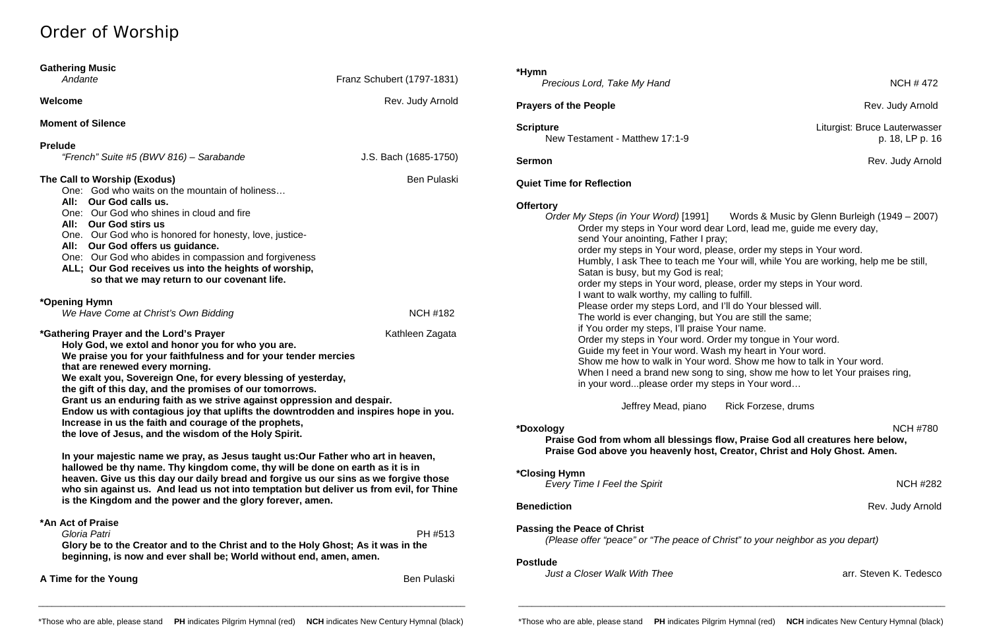# Order of Worship

| <b>Gathering Music</b><br>Andante                                                                                                                                                                                                                                                                                                                                                                                                                                                                                                                                                                                                                                                                                                                                                                                                                                                                                                                                                                                                                           | Franz Schubert (1797-1831) | *Hymn<br>Precious Lord, Take My Hand                                                                                                                                                                                                                                                                                                                                                                                                                                                                                                                                                                                                                                                                                                                          | <b>NCH #472</b>                                  |
|-------------------------------------------------------------------------------------------------------------------------------------------------------------------------------------------------------------------------------------------------------------------------------------------------------------------------------------------------------------------------------------------------------------------------------------------------------------------------------------------------------------------------------------------------------------------------------------------------------------------------------------------------------------------------------------------------------------------------------------------------------------------------------------------------------------------------------------------------------------------------------------------------------------------------------------------------------------------------------------------------------------------------------------------------------------|----------------------------|---------------------------------------------------------------------------------------------------------------------------------------------------------------------------------------------------------------------------------------------------------------------------------------------------------------------------------------------------------------------------------------------------------------------------------------------------------------------------------------------------------------------------------------------------------------------------------------------------------------------------------------------------------------------------------------------------------------------------------------------------------------|--------------------------------------------------|
| Welcome                                                                                                                                                                                                                                                                                                                                                                                                                                                                                                                                                                                                                                                                                                                                                                                                                                                                                                                                                                                                                                                     | Rev. Judy Arnold           | <b>Prayers of the People</b>                                                                                                                                                                                                                                                                                                                                                                                                                                                                                                                                                                                                                                                                                                                                  | Rev. Judy Arnold                                 |
| <b>Moment of Silence</b>                                                                                                                                                                                                                                                                                                                                                                                                                                                                                                                                                                                                                                                                                                                                                                                                                                                                                                                                                                                                                                    |                            | <b>Scripture</b><br>New Testament - Matthew 17:1-9                                                                                                                                                                                                                                                                                                                                                                                                                                                                                                                                                                                                                                                                                                            | Liturgist: Bruce Lauterwasser<br>p. 18, LP p. 16 |
| <b>Prelude</b><br>"French" Suite #5 (BWV 816) - Sarabande                                                                                                                                                                                                                                                                                                                                                                                                                                                                                                                                                                                                                                                                                                                                                                                                                                                                                                                                                                                                   | J.S. Bach (1685-1750)      | <b>Sermon</b>                                                                                                                                                                                                                                                                                                                                                                                                                                                                                                                                                                                                                                                                                                                                                 | Rev. Judy Arnold                                 |
| The Call to Worship (Exodus)<br>One: God who waits on the mountain of holiness<br>Our God calls us.<br>All:<br>Our God who shines in cloud and fire<br>One:<br><b>Our God stirs us</b><br>All:<br>Our God who is honored for honesty, love, justice-<br>One.<br>Our God offers us guidance.<br>All:<br>Our God who abides in compassion and forgiveness<br>One:<br>ALL; Our God receives us into the heights of worship,<br>so that we may return to our covenant life.                                                                                                                                                                                                                                                                                                                                                                                                                                                                                                                                                                                     | <b>Ben Pulaski</b>         | <b>Quiet Time for Reflection</b><br><b>Offertory</b><br>Order My Steps (in Your Word) [1991]<br>Words & Music by Glenn Burleigh (1949 – 2007)<br>Order my steps in Your word dear Lord, lead me, guide me every day,<br>send Your anointing, Father I pray;<br>order my steps in Your word, please, order my steps in Your word.<br>Humbly, I ask Thee to teach me Your will, while You are working, help me be still,<br>Satan is busy, but my God is real;<br>order my steps in Your word, please, order my steps in Your word.<br>I want to walk worthy, my calling to fulfill.                                                                                                                                                                            |                                                  |
| *Opening Hymn<br>We Have Come at Christ's Own Bidding                                                                                                                                                                                                                                                                                                                                                                                                                                                                                                                                                                                                                                                                                                                                                                                                                                                                                                                                                                                                       | <b>NCH #182</b>            | Please order my steps Lord, and I'll do Your blessed will.<br>The world is ever changing, but You are still the same;                                                                                                                                                                                                                                                                                                                                                                                                                                                                                                                                                                                                                                         |                                                  |
| *Gathering Prayer and the Lord's Prayer<br>Kathleen Zagata<br>Holy God, we extol and honor you for who you are.<br>We praise you for your faithfulness and for your tender mercies<br>that are renewed every morning.<br>We exalt you, Sovereign One, for every blessing of yesterday,<br>the gift of this day, and the promises of our tomorrows.<br>Grant us an enduring faith as we strive against oppression and despair.<br>Endow us with contagious joy that uplifts the downtrodden and inspires hope in you.<br>Increase in us the faith and courage of the prophets,<br>the love of Jesus, and the wisdom of the Holy Spirit.<br>In your majestic name we pray, as Jesus taught us: Our Father who art in heaven,<br>hallowed be thy name. Thy kingdom come, thy will be done on earth as it is in<br>heaven. Give us this day our daily bread and forgive us our sins as we forgive those<br>who sin against us. And lead us not into temptation but deliver us from evil, for Thine<br>is the Kingdom and the power and the glory forever, amen. |                            | if You order my steps, I'll praise Your name.<br>Order my steps in Your word. Order my tongue in Your word.<br>Guide my feet in Your word. Wash my heart in Your word.<br>Show me how to walk in Your word. Show me how to talk in Your word.<br>When I need a brand new song to sing, show me how to let Your praises ring,<br>in your wordplease order my steps in Your word<br>Jeffrey Mead, piano<br>Rick Forzese, drums<br><b>NCH #780</b><br>*Doxology<br>Praise God from whom all blessings flow, Praise God all creatures here below,<br>Praise God above you heavenly host, Creator, Christ and Holy Ghost. Amen.<br><i><b>*Closing Hymn</b></i><br><b>Every Time I Feel the Spirit</b><br><b>NCH #282</b><br>Rev. Judy Arnold<br><b>Benediction</b> |                                                  |
|                                                                                                                                                                                                                                                                                                                                                                                                                                                                                                                                                                                                                                                                                                                                                                                                                                                                                                                                                                                                                                                             |                            |                                                                                                                                                                                                                                                                                                                                                                                                                                                                                                                                                                                                                                                                                                                                                               |                                                  |
| A Time for the Young                                                                                                                                                                                                                                                                                                                                                                                                                                                                                                                                                                                                                                                                                                                                                                                                                                                                                                                                                                                                                                        | Ben Pulaski                | Just a Closer Walk With Thee                                                                                                                                                                                                                                                                                                                                                                                                                                                                                                                                                                                                                                                                                                                                  | arr. Steven K. Tedesco                           |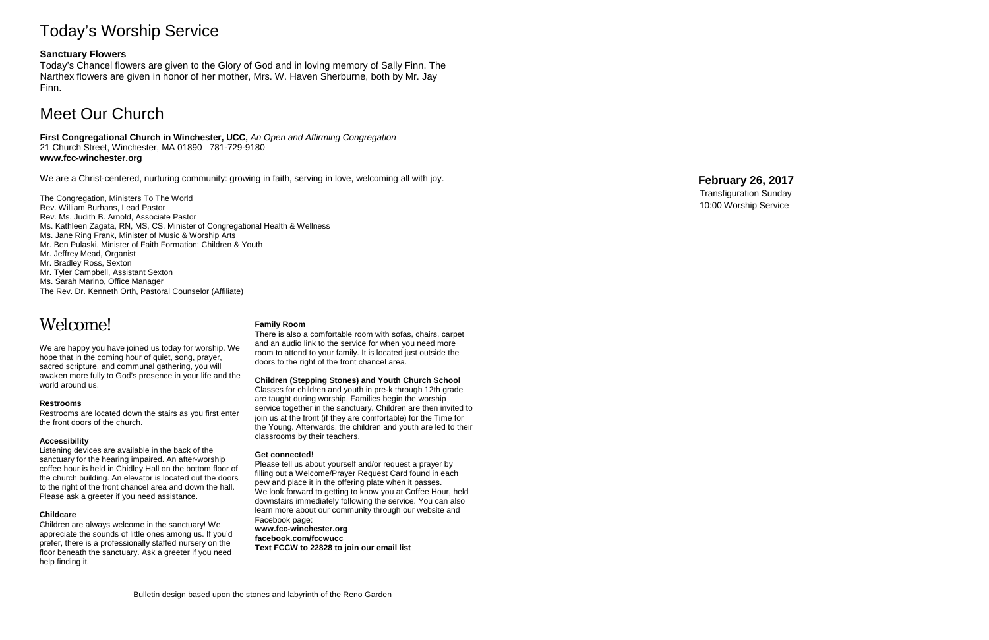# Today's Worship Service

### **Sanctuary Flowers**

Today's Chancel flowers are given to the Glory of God and in loving memory of Sally Finn. The Narthex flowers are given in honor of her mother, Mrs. W. Haven Sherburne, both by Mr. Jay Finn.

# Meet Our Church

**First Congregational Church in Winchester, UCC,** *An Open and Affirming Congregation* 21 Church Street, Winchester, MA 01890 781 -729 -9180 **www.fcc -winchester.org**

We are a Christ -centered, nurturing community: growing in faith, serving in love, welcoming all with joy.

The Congregation, Ministers To The World Rev. William Burhans, Lead Pastor Rev. Ms. Judith B. Arnold, Associate Pastor Ms. Kathleen Zagata, RN, MS, CS, Minister of Congregational Health & Wellness Ms. Jane Ring Frank, Minister of Music & Worship Arts Mr. Ben Pulaski, Minister of Faith Formation: Children & Youth Mr. Jeffrey Mead, Organist Mr. Bradley Ross, Sexton Mr. Tyler Campbell, Assistant Sexton Ms. Sarah Marino, Office Manager The Rev. Dr. Kenneth Orth, Pastoral Counselor (Affiliate)

# Welcome!

We are happy you have joined us today for worship. We hope that in the coming hour of quiet, song, prayer, sacred scripture, and communal gathering, you will awaken more fully to God's presence in your life and the world around us.

#### **Restrooms**

Restrooms are located down the stairs as you first enter the front doors of the church.

#### **Accessibility**

Listening devices are available in the back of the sanctuary for the hearing impaired. An after -worship coffee hour is held in Chidley Hall on the bottom floor of the church building. An elevator is located out the doors to the right of the front chancel area and down the hall. Please ask a greeter if you need assistance.

#### **Childcare**

Children are always welcome in the sanctuary! We appreciate the sounds of little ones among us. If you'd prefer, there is a professionally staffed nursery on the floor beneath the sanctuary. Ask a greeter if you need help finding it.

#### **Family Room**

There is also a comfortable room with sofas, chairs, carpet and an audio link to the service for when you need more room to attend to your family. It is located just outside the doors to the right of the front chancel area.

#### **Children (Stepping Stones) and Youth Church School**

Classes for children and youth in pre -k through 12th grade are taught during worship. Families begin the worship service together in the sanctuary. Children are then invited to join us at the front (if they are comfortable) for the Time for the Young. Afterwards, the children and youth are led to their classrooms by their teachers.

#### **Get connected!**

Please tell us about yourself and/or request a prayer by filling out a Welcome/Prayer Request Card found in each pew and place it in the offering plate when it passes. We look forward to getting to know you at Coffee Hour, held downstairs immediately following the service. You can also learn more about our community through our website and Facebook page: **www.fcc -winchester.org**

**facebook.com/fccwucc**

**Text FCCW to 22828 to join our email list**

# **February 26 , 2017**

Transfiguration Sunday 10:00 Worship Service